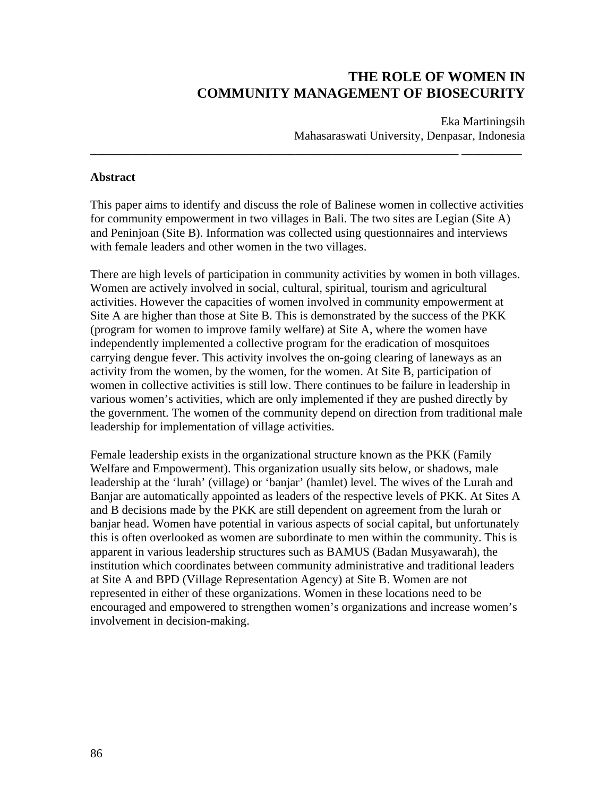# **THE ROLE OF WOMEN IN COMMUNITY MANAGEMENT OF BIOSECURITY**

Eka Martiningsih Mahasaraswati University, Denpasar, Indonesia

#### **Abstract**

This paper aims to identify and discuss the role of Balinese women in collective activities for community empowerment in two villages in Bali. The two sites are Legian (Site A) and Peninjoan (Site B). Information was collected using questionnaires and interviews with female leaders and other women in the two villages.

**\_\_\_\_\_\_\_\_\_\_\_\_\_\_\_\_\_\_\_\_\_\_\_\_\_\_\_\_\_\_\_\_\_\_\_\_\_\_\_\_\_\_\_\_\_\_\_\_\_\_\_\_\_\_\_\_\_\_\_\_\_ \_\_\_\_\_\_\_\_\_\_** 

There are high levels of participation in community activities by women in both villages. Women are actively involved in social, cultural, spiritual, tourism and agricultural activities. However the capacities of women involved in community empowerment at Site A are higher than those at Site B. This is demonstrated by the success of the PKK (program for women to improve family welfare) at Site A, where the women have independently implemented a collective program for the eradication of mosquitoes carrying dengue fever. This activity involves the on-going clearing of laneways as an activity from the women, by the women, for the women. At Site B, participation of women in collective activities is still low. There continues to be failure in leadership in various women's activities, which are only implemented if they are pushed directly by the government. The women of the community depend on direction from traditional male leadership for implementation of village activities.

Female leadership exists in the organizational structure known as the PKK (Family Welfare and Empowerment). This organization usually sits below, or shadows, male leadership at the 'lurah' (village) or 'banjar' (hamlet) level. The wives of the Lurah and Banjar are automatically appointed as leaders of the respective levels of PKK. At Sites A and B decisions made by the PKK are still dependent on agreement from the lurah or banjar head. Women have potential in various aspects of social capital, but unfortunately this is often overlooked as women are subordinate to men within the community. This is apparent in various leadership structures such as BAMUS (Badan Musyawarah), the institution which coordinates between community administrative and traditional leaders at Site A and BPD (Village Representation Agency) at Site B. Women are not represented in either of these organizations. Women in these locations need to be encouraged and empowered to strengthen women's organizations and increase women's involvement in decision-making.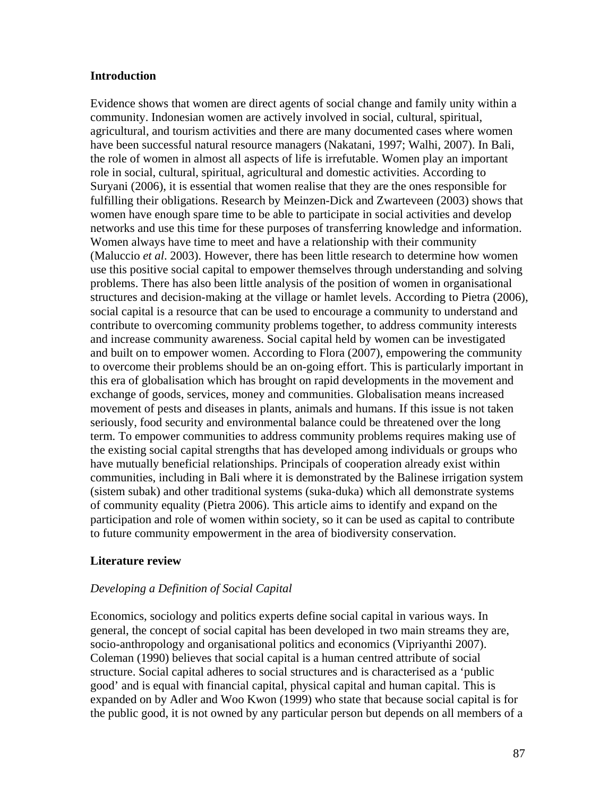#### **Introduction**

Evidence shows that women are direct agents of social change and family unity within a community. Indonesian women are actively involved in social, cultural, spiritual, agricultural, and tourism activities and there are many documented cases where women have been successful natural resource managers (Nakatani, 1997; Walhi, 2007). In Bali, the role of women in almost all aspects of life is irrefutable. Women play an important role in social, cultural, spiritual, agricultural and domestic activities. According to Suryani (2006), it is essential that women realise that they are the ones responsible for fulfilling their obligations. Research by Meinzen-Dick and Zwarteveen (2003) shows that women have enough spare time to be able to participate in social activities and develop networks and use this time for these purposes of transferring knowledge and information. Women always have time to meet and have a relationship with their community (Maluccio *et al*. 2003). However, there has been little research to determine how women use this positive social capital to empower themselves through understanding and solving problems. There has also been little analysis of the position of women in organisational structures and decision-making at the village or hamlet levels. According to Pietra (2006), social capital is a resource that can be used to encourage a community to understand and contribute to overcoming community problems together, to address community interests and increase community awareness. Social capital held by women can be investigated and built on to empower women. According to Flora (2007), empowering the community to overcome their problems should be an on-going effort. This is particularly important in this era of globalisation which has brought on rapid developments in the movement and exchange of goods, services, money and communities. Globalisation means increased movement of pests and diseases in plants, animals and humans. If this issue is not taken seriously, food security and environmental balance could be threatened over the long term. To empower communities to address community problems requires making use of the existing social capital strengths that has developed among individuals or groups who have mutually beneficial relationships. Principals of cooperation already exist within communities, including in Bali where it is demonstrated by the Balinese irrigation system (sistem subak) and other traditional systems (suka-duka) which all demonstrate systems of community equality (Pietra 2006). This article aims to identify and expand on the participation and role of women within society, so it can be used as capital to contribute to future community empowerment in the area of biodiversity conservation.

# **Literature review**

# *Developing a Definition of Social Capital*

Economics, sociology and politics experts define social capital in various ways. In general, the concept of social capital has been developed in two main streams they are, socio-anthropology and organisational politics and economics (Vipriyanthi 2007). Coleman (1990) believes that social capital is a human centred attribute of social structure. Social capital adheres to social structures and is characterised as a 'public good' and is equal with financial capital, physical capital and human capital. This is expanded on by Adler and Woo Kwon (1999) who state that because social capital is for the public good, it is not owned by any particular person but depends on all members of a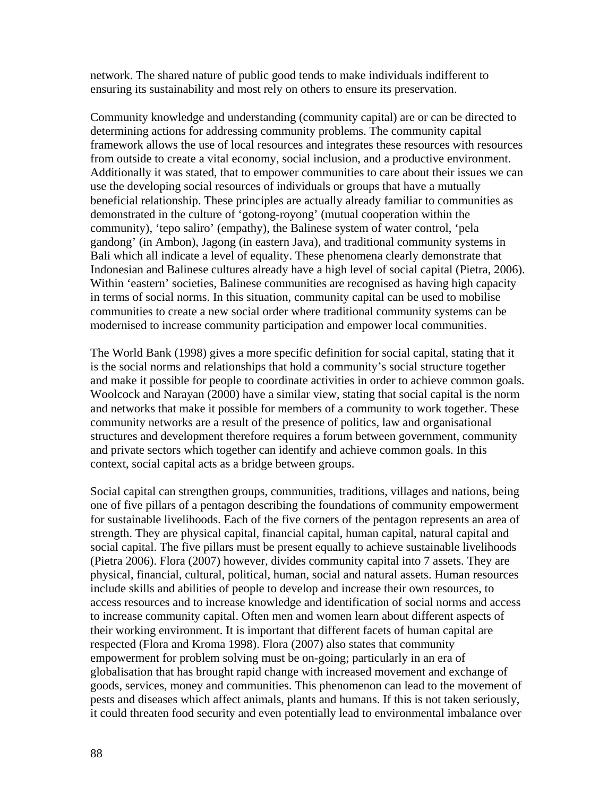network. The shared nature of public good tends to make individuals indifferent to ensuring its sustainability and most rely on others to ensure its preservation.

Community knowledge and understanding (community capital) are or can be directed to determining actions for addressing community problems. The community capital framework allows the use of local resources and integrates these resources with resources from outside to create a vital economy, social inclusion, and a productive environment. Additionally it was stated, that to empower communities to care about their issues we can use the developing social resources of individuals or groups that have a mutually beneficial relationship. These principles are actually already familiar to communities as demonstrated in the culture of 'gotong-royong' (mutual cooperation within the community), 'tepo saliro' (empathy), the Balinese system of water control, 'pela gandong' (in Ambon), Jagong (in eastern Java), and traditional community systems in Bali which all indicate a level of equality. These phenomena clearly demonstrate that Indonesian and Balinese cultures already have a high level of social capital (Pietra, 2006). Within 'eastern' societies, Balinese communities are recognised as having high capacity in terms of social norms. In this situation, community capital can be used to mobilise communities to create a new social order where traditional community systems can be modernised to increase community participation and empower local communities.

The World Bank (1998) gives a more specific definition for social capital, stating that it is the social norms and relationships that hold a community's social structure together and make it possible for people to coordinate activities in order to achieve common goals. Woolcock and Narayan (2000) have a similar view, stating that social capital is the norm and networks that make it possible for members of a community to work together. These community networks are a result of the presence of politics, law and organisational structures and development therefore requires a forum between government, community and private sectors which together can identify and achieve common goals. In this context, social capital acts as a bridge between groups.

Social capital can strengthen groups, communities, traditions, villages and nations, being one of five pillars of a pentagon describing the foundations of community empowerment for sustainable livelihoods. Each of the five corners of the pentagon represents an area of strength. They are physical capital, financial capital, human capital, natural capital and social capital. The five pillars must be present equally to achieve sustainable livelihoods (Pietra 2006). Flora (2007) however, divides community capital into 7 assets. They are physical, financial, cultural, political, human, social and natural assets. Human resources include skills and abilities of people to develop and increase their own resources, to access resources and to increase knowledge and identification of social norms and access to increase community capital. Often men and women learn about different aspects of their working environment. It is important that different facets of human capital are respected (Flora and Kroma 1998). Flora (2007) also states that community empowerment for problem solving must be on-going; particularly in an era of globalisation that has brought rapid change with increased movement and exchange of goods, services, money and communities. This phenomenon can lead to the movement of pests and diseases which affect animals, plants and humans. If this is not taken seriously, it could threaten food security and even potentially lead to environmental imbalance over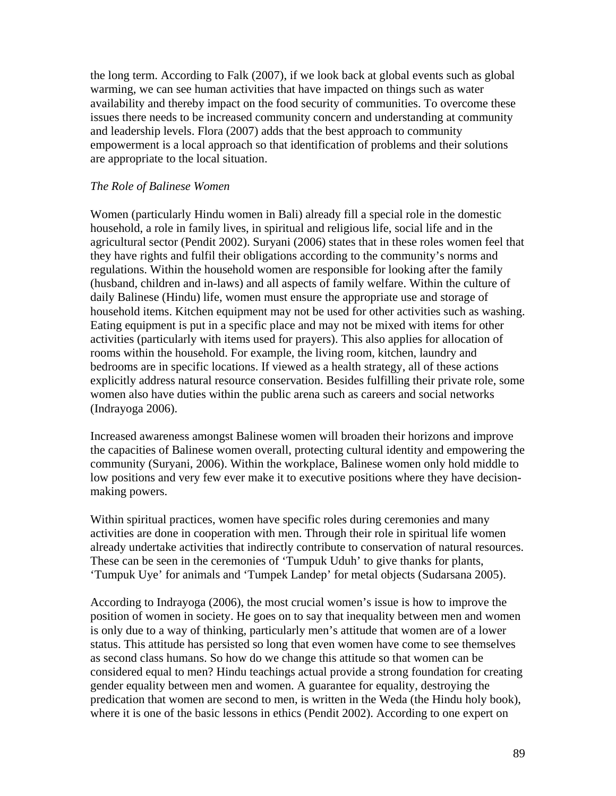the long term. According to Falk (2007), if we look back at global events such as global warming, we can see human activities that have impacted on things such as water availability and thereby impact on the food security of communities. To overcome these issues there needs to be increased community concern and understanding at community and leadership levels. Flora (2007) adds that the best approach to community empowerment is a local approach so that identification of problems and their solutions are appropriate to the local situation.

## *The Role of Balinese Women*

Women (particularly Hindu women in Bali) already fill a special role in the domestic household, a role in family lives, in spiritual and religious life, social life and in the agricultural sector (Pendit 2002). Suryani (2006) states that in these roles women feel that they have rights and fulfil their obligations according to the community's norms and regulations. Within the household women are responsible for looking after the family (husband, children and in-laws) and all aspects of family welfare. Within the culture of daily Balinese (Hindu) life, women must ensure the appropriate use and storage of household items. Kitchen equipment may not be used for other activities such as washing. Eating equipment is put in a specific place and may not be mixed with items for other activities (particularly with items used for prayers). This also applies for allocation of rooms within the household. For example, the living room, kitchen, laundry and bedrooms are in specific locations. If viewed as a health strategy, all of these actions explicitly address natural resource conservation. Besides fulfilling their private role, some women also have duties within the public arena such as careers and social networks (Indrayoga 2006).

Increased awareness amongst Balinese women will broaden their horizons and improve the capacities of Balinese women overall, protecting cultural identity and empowering the community (Suryani, 2006). Within the workplace, Balinese women only hold middle to low positions and very few ever make it to executive positions where they have decisionmaking powers.

Within spiritual practices, women have specific roles during ceremonies and many activities are done in cooperation with men. Through their role in spiritual life women already undertake activities that indirectly contribute to conservation of natural resources. These can be seen in the ceremonies of 'Tumpuk Uduh' to give thanks for plants, 'Tumpuk Uye' for animals and 'Tumpek Landep' for metal objects (Sudarsana 2005).

According to Indrayoga (2006), the most crucial women's issue is how to improve the position of women in society. He goes on to say that inequality between men and women is only due to a way of thinking, particularly men's attitude that women are of a lower status. This attitude has persisted so long that even women have come to see themselves as second class humans. So how do we change this attitude so that women can be considered equal to men? Hindu teachings actual provide a strong foundation for creating gender equality between men and women. A guarantee for equality, destroying the predication that women are second to men, is written in the Weda (the Hindu holy book), where it is one of the basic lessons in ethics (Pendit 2002). According to one expert on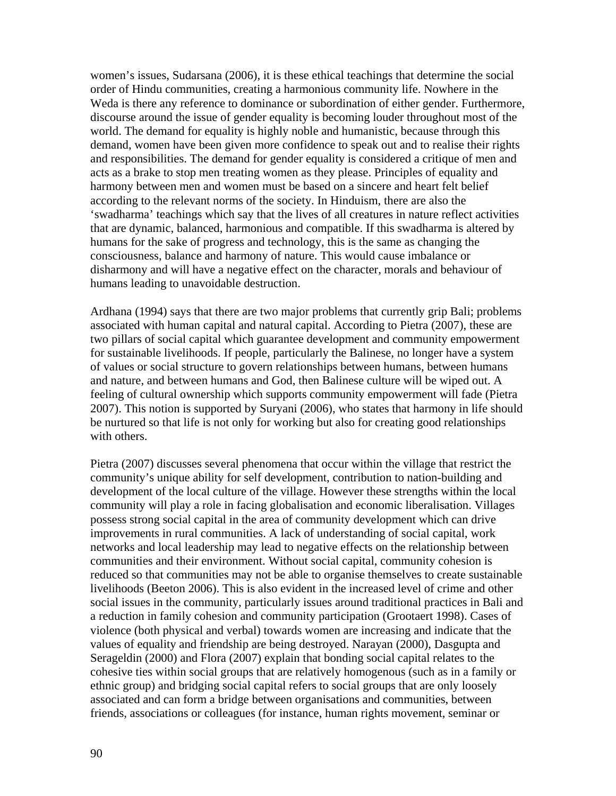women's issues, Sudarsana (2006), it is these ethical teachings that determine the social order of Hindu communities, creating a harmonious community life. Nowhere in the Weda is there any reference to dominance or subordination of either gender. Furthermore, discourse around the issue of gender equality is becoming louder throughout most of the world. The demand for equality is highly noble and humanistic, because through this demand, women have been given more confidence to speak out and to realise their rights and responsibilities. The demand for gender equality is considered a critique of men and acts as a brake to stop men treating women as they please. Principles of equality and harmony between men and women must be based on a sincere and heart felt belief according to the relevant norms of the society. In Hinduism, there are also the 'swadharma' teachings which say that the lives of all creatures in nature reflect activities that are dynamic, balanced, harmonious and compatible. If this swadharma is altered by humans for the sake of progress and technology, this is the same as changing the consciousness, balance and harmony of nature. This would cause imbalance or disharmony and will have a negative effect on the character, morals and behaviour of humans leading to unavoidable destruction.

Ardhana (1994) says that there are two major problems that currently grip Bali; problems associated with human capital and natural capital. According to Pietra (2007), these are two pillars of social capital which guarantee development and community empowerment for sustainable livelihoods. If people, particularly the Balinese, no longer have a system of values or social structure to govern relationships between humans, between humans and nature, and between humans and God, then Balinese culture will be wiped out. A feeling of cultural ownership which supports community empowerment will fade (Pietra 2007). This notion is supported by Suryani (2006), who states that harmony in life should be nurtured so that life is not only for working but also for creating good relationships with others.

Pietra (2007) discusses several phenomena that occur within the village that restrict the community's unique ability for self development, contribution to nation-building and development of the local culture of the village. However these strengths within the local community will play a role in facing globalisation and economic liberalisation. Villages possess strong social capital in the area of community development which can drive improvements in rural communities. A lack of understanding of social capital, work networks and local leadership may lead to negative effects on the relationship between communities and their environment. Without social capital, community cohesion is reduced so that communities may not be able to organise themselves to create sustainable livelihoods (Beeton 2006). This is also evident in the increased level of crime and other social issues in the community, particularly issues around traditional practices in Bali and a reduction in family cohesion and community participation (Grootaert 1998). Cases of violence (both physical and verbal) towards women are increasing and indicate that the values of equality and friendship are being destroyed. Narayan (2000), Dasgupta and Serageldin (2000) and Flora (2007) explain that bonding social capital relates to the cohesive ties within social groups that are relatively homogenous (such as in a family or ethnic group) and bridging social capital refers to social groups that are only loosely associated and can form a bridge between organisations and communities, between friends, associations or colleagues (for instance, human rights movement, seminar or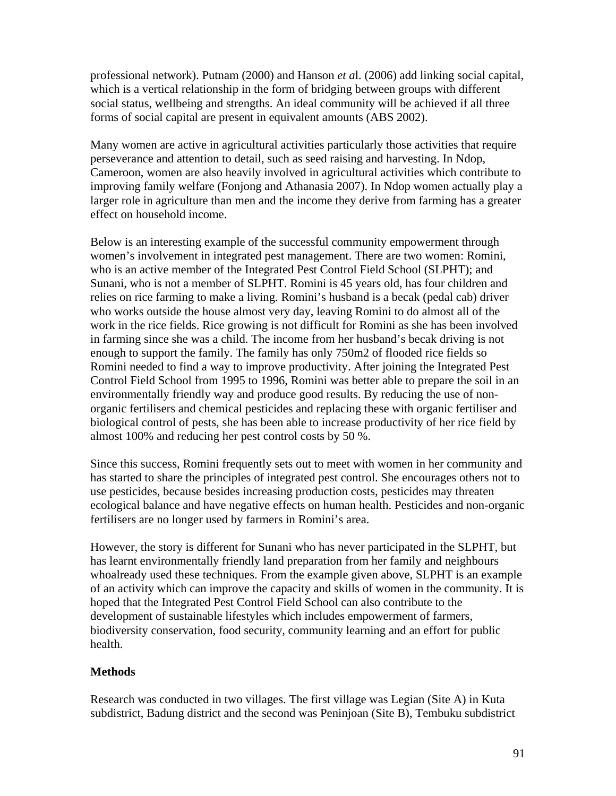professional network). Putnam (2000) and Hanson *et a*l. (2006) add linking social capital, which is a vertical relationship in the form of bridging between groups with different social status, wellbeing and strengths. An ideal community will be achieved if all three forms of social capital are present in equivalent amounts (ABS 2002).

Many women are active in agricultural activities particularly those activities that require perseverance and attention to detail, such as seed raising and harvesting. In Ndop, Cameroon, women are also heavily involved in agricultural activities which contribute to improving family welfare (Fonjong and Athanasia 2007). In Ndop women actually play a larger role in agriculture than men and the income they derive from farming has a greater effect on household income.

Below is an interesting example of the successful community empowerment through women's involvement in integrated pest management. There are two women: Romini, who is an active member of the Integrated Pest Control Field School (SLPHT); and Sunani, who is not a member of SLPHT. Romini is 45 years old, has four children and relies on rice farming to make a living. Romini's husband is a becak (pedal cab) driver who works outside the house almost very day, leaving Romini to do almost all of the work in the rice fields. Rice growing is not difficult for Romini as she has been involved in farming since she was a child. The income from her husband's becak driving is not enough to support the family. The family has only 750m2 of flooded rice fields so Romini needed to find a way to improve productivity. After joining the Integrated Pest Control Field School from 1995 to 1996, Romini was better able to prepare the soil in an environmentally friendly way and produce good results. By reducing the use of nonorganic fertilisers and chemical pesticides and replacing these with organic fertiliser and biological control of pests, she has been able to increase productivity of her rice field by almost 100% and reducing her pest control costs by 50 %.

Since this success, Romini frequently sets out to meet with women in her community and has started to share the principles of integrated pest control. She encourages others not to use pesticides, because besides increasing production costs, pesticides may threaten ecological balance and have negative effects on human health. Pesticides and non-organic fertilisers are no longer used by farmers in Romini's area.

However, the story is different for Sunani who has never participated in the SLPHT, but has learnt environmentally friendly land preparation from her family and neighbours whoalready used these techniques. From the example given above, SLPHT is an example of an activity which can improve the capacity and skills of women in the community. It is hoped that the Integrated Pest Control Field School can also contribute to the development of sustainable lifestyles which includes empowerment of farmers, biodiversity conservation, food security, community learning and an effort for public health.

# **Methods**

Research was conducted in two villages. The first village was Legian (Site A) in Kuta subdistrict, Badung district and the second was Peninjoan (Site B), Tembuku subdistrict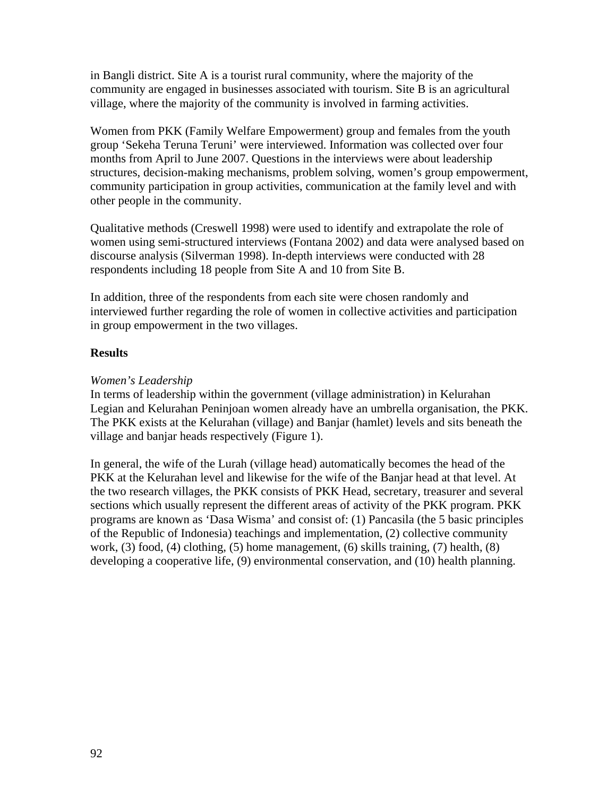in Bangli district. Site A is a tourist rural community, where the majority of the community are engaged in businesses associated with tourism. Site B is an agricultural village, where the majority of the community is involved in farming activities.

Women from PKK (Family Welfare Empowerment) group and females from the youth group 'Sekeha Teruna Teruni' were interviewed. Information was collected over four months from April to June 2007. Questions in the interviews were about leadership structures, decision-making mechanisms, problem solving, women's group empowerment, community participation in group activities, communication at the family level and with other people in the community.

Qualitative methods (Creswell 1998) were used to identify and extrapolate the role of women using semi-structured interviews (Fontana 2002) and data were analysed based on discourse analysis (Silverman 1998). In-depth interviews were conducted with 28 respondents including 18 people from Site A and 10 from Site B.

In addition, three of the respondents from each site were chosen randomly and interviewed further regarding the role of women in collective activities and participation in group empowerment in the two villages.

## **Results**

## *Women's Leadership*

In terms of leadership within the government (village administration) in Kelurahan Legian and Kelurahan Peninjoan women already have an umbrella organisation, the PKK. The PKK exists at the Kelurahan (village) and Banjar (hamlet) levels and sits beneath the village and banjar heads respectively (Figure 1).

In general, the wife of the Lurah (village head) automatically becomes the head of the PKK at the Kelurahan level and likewise for the wife of the Banjar head at that level. At the two research villages, the PKK consists of PKK Head, secretary, treasurer and several sections which usually represent the different areas of activity of the PKK program. PKK programs are known as 'Dasa Wisma' and consist of: (1) Pancasila (the 5 basic principles of the Republic of Indonesia) teachings and implementation, (2) collective community work, (3) food, (4) clothing, (5) home management, (6) skills training, (7) health, (8) developing a cooperative life, (9) environmental conservation, and (10) health planning.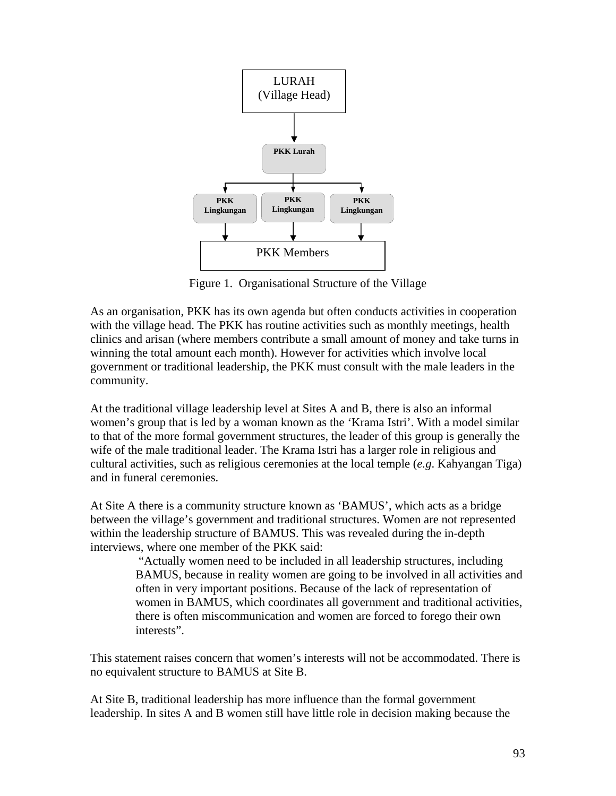

Figure 1. Organisational Structure of the Village

As an organisation, PKK has its own agenda but often conducts activities in cooperation with the village head. The PKK has routine activities such as monthly meetings, health clinics and arisan (where members contribute a small amount of money and take turns in winning the total amount each month). However for activities which involve local government or traditional leadership, the PKK must consult with the male leaders in the community.

At the traditional village leadership level at Sites A and B, there is also an informal women's group that is led by a woman known as the 'Krama Istri'. With a model similar to that of the more formal government structures, the leader of this group is generally the wife of the male traditional leader. The Krama Istri has a larger role in religious and cultural activities, such as religious ceremonies at the local temple (*e.g*. Kahyangan Tiga) and in funeral ceremonies.

At Site A there is a community structure known as 'BAMUS', which acts as a bridge between the village's government and traditional structures. Women are not represented within the leadership structure of BAMUS. This was revealed during the in-depth interviews, where one member of the PKK said:

> "Actually women need to be included in all leadership structures, including BAMUS, because in reality women are going to be involved in all activities and often in very important positions. Because of the lack of representation of women in BAMUS, which coordinates all government and traditional activities, there is often miscommunication and women are forced to forego their own interests".

This statement raises concern that women's interests will not be accommodated. There is no equivalent structure to BAMUS at Site B.

At Site B, traditional leadership has more influence than the formal government leadership. In sites A and B women still have little role in decision making because the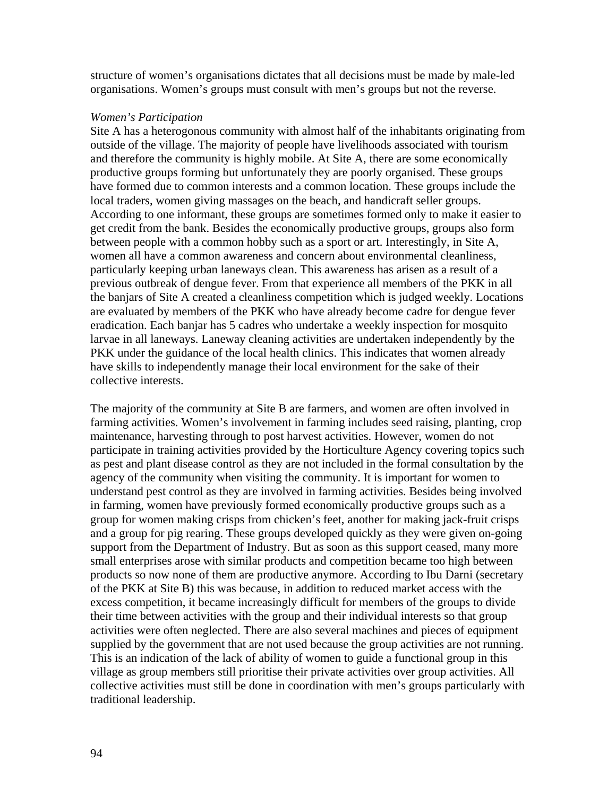structure of women's organisations dictates that all decisions must be made by male-led organisations. Women's groups must consult with men's groups but not the reverse.

#### *Women's Participation*

Site A has a heterogonous community with almost half of the inhabitants originating from outside of the village. The majority of people have livelihoods associated with tourism and therefore the community is highly mobile. At Site A, there are some economically productive groups forming but unfortunately they are poorly organised. These groups have formed due to common interests and a common location. These groups include the local traders, women giving massages on the beach, and handicraft seller groups. According to one informant, these groups are sometimes formed only to make it easier to get credit from the bank. Besides the economically productive groups, groups also form between people with a common hobby such as a sport or art. Interestingly, in Site A, women all have a common awareness and concern about environmental cleanliness, particularly keeping urban laneways clean. This awareness has arisen as a result of a previous outbreak of dengue fever. From that experience all members of the PKK in all the banjars of Site A created a cleanliness competition which is judged weekly. Locations are evaluated by members of the PKK who have already become cadre for dengue fever eradication. Each banjar has 5 cadres who undertake a weekly inspection for mosquito larvae in all laneways. Laneway cleaning activities are undertaken independently by the PKK under the guidance of the local health clinics. This indicates that women already have skills to independently manage their local environment for the sake of their collective interests.

The majority of the community at Site B are farmers, and women are often involved in farming activities. Women's involvement in farming includes seed raising, planting, crop maintenance, harvesting through to post harvest activities. However, women do not participate in training activities provided by the Horticulture Agency covering topics such as pest and plant disease control as they are not included in the formal consultation by the agency of the community when visiting the community. It is important for women to understand pest control as they are involved in farming activities. Besides being involved in farming, women have previously formed economically productive groups such as a group for women making crisps from chicken's feet, another for making jack-fruit crisps and a group for pig rearing. These groups developed quickly as they were given on-going support from the Department of Industry. But as soon as this support ceased, many more small enterprises arose with similar products and competition became too high between products so now none of them are productive anymore. According to Ibu Darni (secretary of the PKK at Site B) this was because, in addition to reduced market access with the excess competition, it became increasingly difficult for members of the groups to divide their time between activities with the group and their individual interests so that group activities were often neglected. There are also several machines and pieces of equipment supplied by the government that are not used because the group activities are not running. This is an indication of the lack of ability of women to guide a functional group in this village as group members still prioritise their private activities over group activities. All collective activities must still be done in coordination with men's groups particularly with traditional leadership.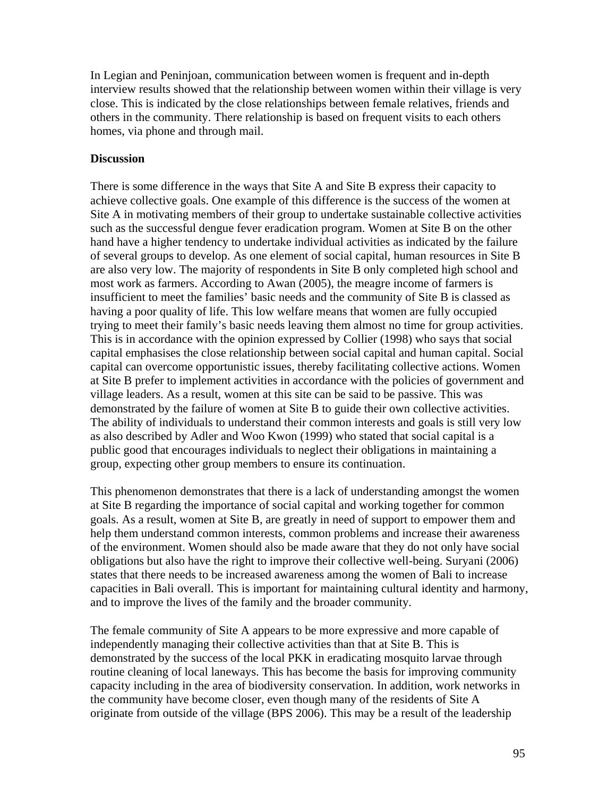In Legian and Peninjoan, communication between women is frequent and in-depth interview results showed that the relationship between women within their village is very close. This is indicated by the close relationships between female relatives, friends and others in the community. There relationship is based on frequent visits to each others homes, via phone and through mail.

## **Discussion**

There is some difference in the ways that Site A and Site B express their capacity to achieve collective goals. One example of this difference is the success of the women at Site A in motivating members of their group to undertake sustainable collective activities such as the successful dengue fever eradication program. Women at Site B on the other hand have a higher tendency to undertake individual activities as indicated by the failure of several groups to develop. As one element of social capital, human resources in Site B are also very low. The majority of respondents in Site B only completed high school and most work as farmers. According to Awan (2005), the meagre income of farmers is insufficient to meet the families' basic needs and the community of Site B is classed as having a poor quality of life. This low welfare means that women are fully occupied trying to meet their family's basic needs leaving them almost no time for group activities. This is in accordance with the opinion expressed by Collier (1998) who says that social capital emphasises the close relationship between social capital and human capital. Social capital can overcome opportunistic issues, thereby facilitating collective actions. Women at Site B prefer to implement activities in accordance with the policies of government and village leaders. As a result, women at this site can be said to be passive. This was demonstrated by the failure of women at Site B to guide their own collective activities. The ability of individuals to understand their common interests and goals is still very low as also described by Adler and Woo Kwon (1999) who stated that social capital is a public good that encourages individuals to neglect their obligations in maintaining a group, expecting other group members to ensure its continuation.

This phenomenon demonstrates that there is a lack of understanding amongst the women at Site B regarding the importance of social capital and working together for common goals. As a result, women at Site B, are greatly in need of support to empower them and help them understand common interests, common problems and increase their awareness of the environment. Women should also be made aware that they do not only have social obligations but also have the right to improve their collective well-being. Suryani (2006) states that there needs to be increased awareness among the women of Bali to increase capacities in Bali overall. This is important for maintaining cultural identity and harmony, and to improve the lives of the family and the broader community.

The female community of Site A appears to be more expressive and more capable of independently managing their collective activities than that at Site B. This is demonstrated by the success of the local PKK in eradicating mosquito larvae through routine cleaning of local laneways. This has become the basis for improving community capacity including in the area of biodiversity conservation. In addition, work networks in the community have become closer, even though many of the residents of Site A originate from outside of the village (BPS 2006). This may be a result of the leadership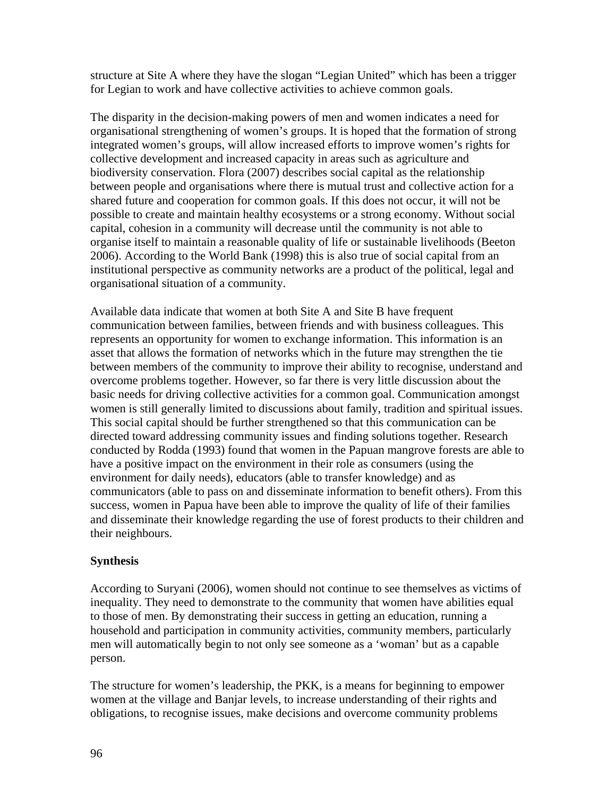structure at Site A where they have the slogan "Legian United" which has been a trigger for Legian to work and have collective activities to achieve common goals.

The disparity in the decision-making powers of men and women indicates a need for organisational strengthening of women's groups. It is hoped that the formation of strong integrated women's groups, will allow increased efforts to improve women's rights for collective development and increased capacity in areas such as agriculture and biodiversity conservation. Flora (2007) describes social capital as the relationship between people and organisations where there is mutual trust and collective action for a shared future and cooperation for common goals. If this does not occur, it will not be possible to create and maintain healthy ecosystems or a strong economy. Without social capital, cohesion in a community will decrease until the community is not able to organise itself to maintain a reasonable quality of life or sustainable livelihoods (Beeton 2006). According to the World Bank (1998) this is also true of social capital from an institutional perspective as community networks are a product of the political, legal and organisational situation of a community.

Available data indicate that women at both Site A and Site B have frequent communication between families, between friends and with business colleagues. This represents an opportunity for women to exchange information. This information is an asset that allows the formation of networks which in the future may strengthen the tie between members of the community to improve their ability to recognise, understand and overcome problems together. However, so far there is very little discussion about the basic needs for driving collective activities for a common goal. Communication amongst women is still generally limited to discussions about family, tradition and spiritual issues. This social capital should be further strengthened so that this communication can be directed toward addressing community issues and finding solutions together. Research conducted by Rodda (1993) found that women in the Papuan mangrove forests are able to have a positive impact on the environment in their role as consumers (using the environment for daily needs), educators (able to transfer knowledge) and as communicators (able to pass on and disseminate information to benefit others). From this success, women in Papua have been able to improve the quality of life of their families and disseminate their knowledge regarding the use of forest products to their children and their neighbours.

# **Synthesis**

According to Suryani (2006), women should not continue to see themselves as victims of inequality. They need to demonstrate to the community that women have abilities equal to those of men. By demonstrating their success in getting an education, running a household and participation in community activities, community members, particularly men will automatically begin to not only see someone as a 'woman' but as a capable person.

The structure for women's leadership, the PKK, is a means for beginning to empower women at the village and Banjar levels, to increase understanding of their rights and obligations, to recognise issues, make decisions and overcome community problems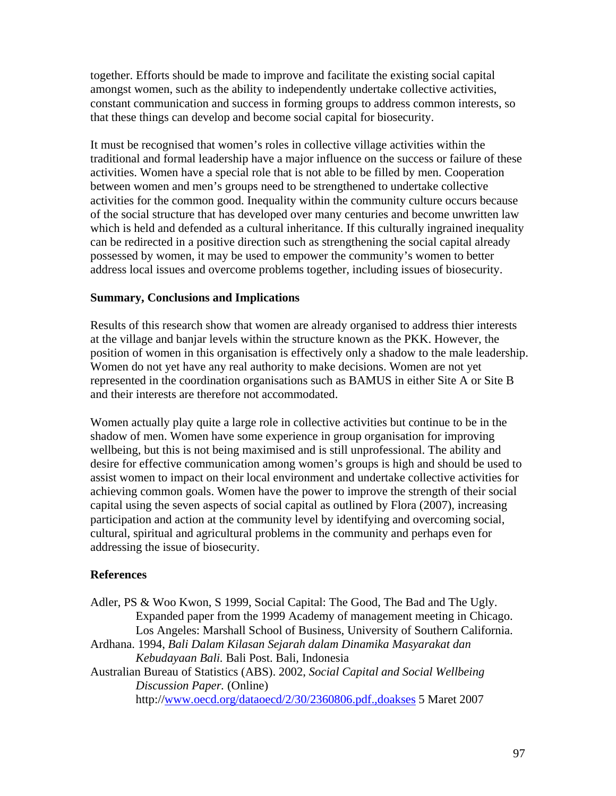together. Efforts should be made to improve and facilitate the existing social capital amongst women, such as the ability to independently undertake collective activities, constant communication and success in forming groups to address common interests, so that these things can develop and become social capital for biosecurity.

It must be recognised that women's roles in collective village activities within the traditional and formal leadership have a major influence on the success or failure of these activities. Women have a special role that is not able to be filled by men. Cooperation between women and men's groups need to be strengthened to undertake collective activities for the common good. Inequality within the community culture occurs because of the social structure that has developed over many centuries and become unwritten law which is held and defended as a cultural inheritance. If this culturally ingrained inequality can be redirected in a positive direction such as strengthening the social capital already possessed by women, it may be used to empower the community's women to better address local issues and overcome problems together, including issues of biosecurity.

## **Summary, Conclusions and Implications**

Results of this research show that women are already organised to address thier interests at the village and banjar levels within the structure known as the PKK. However, the position of women in this organisation is effectively only a shadow to the male leadership. Women do not yet have any real authority to make decisions. Women are not yet represented in the coordination organisations such as BAMUS in either Site A or Site B and their interests are therefore not accommodated.

Women actually play quite a large role in collective activities but continue to be in the shadow of men. Women have some experience in group organisation for improving wellbeing, but this is not being maximised and is still unprofessional. The ability and desire for effective communication among women's groups is high and should be used to assist women to impact on their local environment and undertake collective activities for achieving common goals. Women have the power to improve the strength of their social capital using the seven aspects of social capital as outlined by Flora (2007), increasing participation and action at the community level by identifying and overcoming social, cultural, spiritual and agricultural problems in the community and perhaps even for addressing the issue of biosecurity.

# **References**

Adler, PS & Woo Kwon, S 1999, Social Capital: The Good, The Bad and The Ugly. Expanded paper from the 1999 Academy of management meeting in Chicago. Los Angeles: Marshall School of Business, University of Southern California. Ardhana. 1994, *Bali Dalam Kilasan Sejarah dalam Dinamika Masyarakat dan Kebudayaan Bali.* Bali Post. Bali, Indonesia Australian Bureau of Statistics (ABS). 2002, *Social Capital and Social Wellbeing Discussion Paper.* (Online) http://[www.oecd.org/dataoecd/2/30/2360806.pdf.,doakses](http://www.oecd.org/dataoecd/2/30/2360806.pdf.,doakses) 5 Maret 2007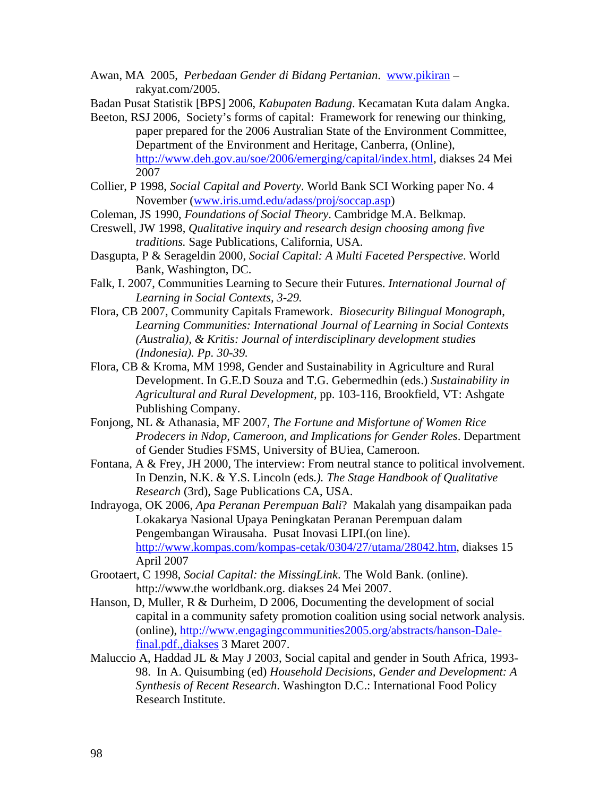Awan, MA 2005, *Perbedaan Gender di Bidang Pertanian*. [www.pikiran](http://www.pikiran/) – rakyat.com/2005.

Badan Pusat Statistik [BPS] 2006, *Kabupaten Badung*. Kecamatan Kuta dalam Angka.

- Beeton, RSJ 2006, Society's forms of capital: Framework for renewing our thinking, paper prepared for the 2006 Australian State of the Environment Committee, Department of the Environment and Heritage, Canberra, (Online), [http://www.deh.gov.au/soe/2006/emerging/capital/index.html,](http://www.deh.gov.au/soe/2006/emerging/capital/index.html) diakses 24 Mei 2007
- Collier, P 1998, *Social Capital and Poverty*. World Bank SCI Working paper No. 4 November ([www.iris.umd.edu/adass/proj/soccap.asp\)](http://www.iris.umd.edu/adass/proj/soccap.asp)
- Coleman, JS 1990, *Foundations of Social Theory*. Cambridge M.A. Belkmap.
- Creswell, JW 1998, *Qualitative inquiry and research design choosing among five traditions.* Sage Publications, California, USA.
- Dasgupta, P & Serageldin 2000, *Social Capital: A Multi Faceted Perspective*. World Bank, Washington, DC.
- Falk, I. 2007, Communities Learning to Secure their Futures. *International Journal of Learning in Social Contexts, 3-29.*
- Flora, CB 2007, Community Capitals Framework. *Biosecurity Bilingual Monograph*, *Learning Communities: International Journal of Learning in Social Contexts (Australia), & Kritis: Journal of interdisciplinary development studies (Indonesia). Pp. 30-39.*
- Flora, CB & Kroma, MM 1998, Gender and Sustainability in Agriculture and Rural Development. In G.E.D Souza and T.G. Gebermedhin (eds.) *Sustainability in Agricultural and Rural Development,* pp. 103-116, Brookfield, VT: Ashgate Publishing Company.
- Fonjong, NL & Athanasia, MF 2007, *The Fortune and Misfortune of Women Rice Prodecers in Ndop, Cameroon, and Implications for Gender Roles*. Department of Gender Studies FSMS, University of BUiea, Cameroon.
- Fontana, A & Frey, JH 2000, The interview: From neutral stance to political involvement. In Denzin, N.K. & Y.S. Lincoln (eds*.). The Stage Handbook of Qualitative Research* (3rd), Sage Publications CA, USA.
- Indrayoga, OK 2006, *Apa Peranan Perempuan Bali*? Makalah yang disampaikan pada Lokakarya Nasional Upaya Peningkatan Peranan Perempuan dalam Pengembangan Wirausaha. Pusat Inovasi LIPI.(on line). [http://www.kompas.com/kompas-cetak/0304/27/utama/28042.htm,](http://www.kompas.com/kompas-cetak/0304/27/utama/28042.htm) diakses 15 April 2007
- Grootaert, C 1998, *Social Capital: the MissingLink*. The Wold Bank. (online). http://www.the worldbank.org. diakses 24 Mei 2007.
- Hanson, D, Muller, R & Durheim, D 2006, Documenting the development of social capital in a community safety promotion coalition using social network analysis. (online), [http://www.engagingcommunities2005.org/abstracts/hanson-Dale](http://www.engagingcommunities2005.org/abstracts/hanson-Dale-final.pdf.,diakses)[final.pdf.,diakses](http://www.engagingcommunities2005.org/abstracts/hanson-Dale-final.pdf.,diakses) 3 Maret 2007.
- Maluccio A, Haddad JL & May J 2003, Social capital and gender in South Africa, 1993- 98. In A. Quisumbing (ed) *Household Decisions, Gender and Development: A Synthesis of Recent Research*. Washington D.C.: International Food Policy Research Institute.